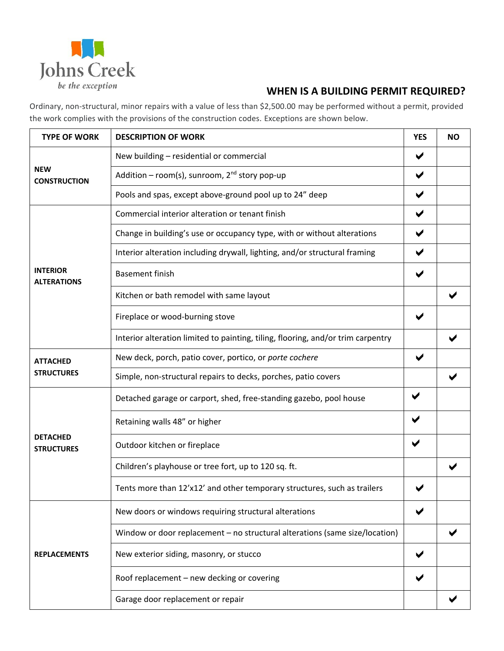

## **WHEN IS A BUILDING PERMIT REQUIRED?**

Ordinary, non-structural, minor repairs with a value of less than \$2,500.00 may be performed without a permit, provided the work complies with the provisions of the construction codes. Exceptions are shown below.

| <b>TYPE OF WORK</b>                   | <b>DESCRIPTION OF WORK</b>                                                       | <b>YES</b>           | <b>NO</b> |
|---------------------------------------|----------------------------------------------------------------------------------|----------------------|-----------|
| <b>NEW</b><br><b>CONSTRUCTION</b>     | New building - residential or commercial                                         | ✔                    |           |
|                                       | Addition – room(s), sunroom, $2^{nd}$ story pop-up                               | $\blacktriangledown$ |           |
|                                       | Pools and spas, except above-ground pool up to 24" deep                          | $\blacktriangledown$ |           |
| <b>INTERIOR</b><br><b>ALTERATIONS</b> | Commercial interior alteration or tenant finish                                  | $\blacktriangledown$ |           |
|                                       | Change in building's use or occupancy type, with or without alterations          | $\blacktriangledown$ |           |
|                                       | Interior alteration including drywall, lighting, and/or structural framing       | $\blacktriangledown$ |           |
|                                       | <b>Basement finish</b>                                                           | $\blacktriangledown$ |           |
|                                       | Kitchen or bath remodel with same layout                                         |                      |           |
|                                       | Fireplace or wood-burning stove                                                  | ✔                    |           |
|                                       | Interior alteration limited to painting, tiling, flooring, and/or trim carpentry |                      |           |
| <b>ATTACHED</b><br><b>STRUCTURES</b>  | New deck, porch, patio cover, portico, or porte cochere                          | $\blacktriangledown$ |           |
|                                       | Simple, non-structural repairs to decks, porches, patio covers                   |                      |           |
| <b>DETACHED</b><br><b>STRUCTURES</b>  | Detached garage or carport, shed, free-standing gazebo, pool house               | ✔                    |           |
|                                       | Retaining walls 48" or higher                                                    |                      |           |
|                                       | Outdoor kitchen or fireplace                                                     |                      |           |
|                                       | Children's playhouse or tree fort, up to 120 sq. ft.                             |                      |           |
|                                       | Tents more than 12'x12' and other temporary structures, such as trailers         |                      |           |
| <b>REPLACEMENTS</b>                   | New doors or windows requiring structural alterations                            |                      |           |
|                                       | Window or door replacement – no structural alterations (same size/location)      |                      |           |
|                                       | New exterior siding, masonry, or stucco                                          |                      |           |
|                                       | Roof replacement - new decking or covering                                       |                      |           |
|                                       | Garage door replacement or repair                                                |                      |           |